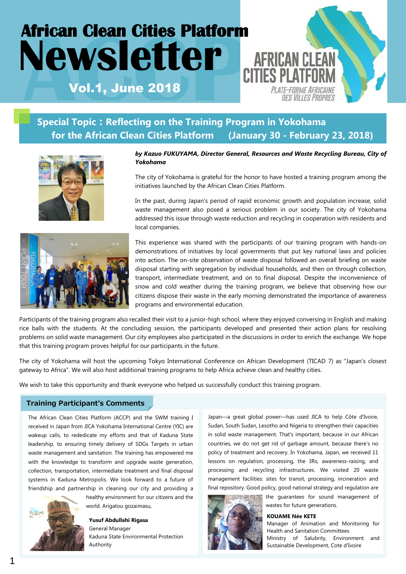# **African Clean Cities Platform Newsletter** *AFRICAN CLE* **AFRICAN CLEAN** Vol.1, June 2018 PLATE-FORME AFRICAINE DES VILLES PROPRES

# **Special Topic**:**Reflecting on the Training Program in Yokohama for the African Clean Cities Platform (January 30 - February 23, 2018)**





#### *by Kazuo FUKUYAMA, Director General, Resources and Waste Recycling Bureau, City of Yokohama*

The city of Yokohama is grateful for the honor to have hosted a training program among the initiatives launched by the African Clean Cities Platform.

In the past, during Japan's period of rapid economic growth and population increase, solid waste management also posed a serious problem in our society. The city of Yokohama addressed this issue through waste reduction and recycling in cooperation with residents and local companies.

This experience was shared with the participants of our training program with hands-on demonstrations of initiatives by local governments that put key national laws and policies into action. The on-site observation of waste disposal followed an overall briefing on waste disposal starting with segregation by individual households, and then on through collection, transport, intermediate treatment, and on to final disposal. Despite the inconvenience of snow and cold weather during the training program, we believe that observing how our citizens dispose their waste in the early morning demonstrated the importance of awareness programs and environmental education.

Participants of the training program also recalled their visit to a junior-high school, where they enjoyed conversing in English and making rice balls with the students. At the concluding session, the participants developed and presented their action plans for resolving problems on solid waste management. Our city employees also participated in the discussions in order to enrich the exchange. We hope that this training program proves helpful for our participants in the future.

The city of Yokohama will host the upcoming Tokyo International Conference on African Development (TICAD 7) as "Japan's closest gateway to Africa". We will also host additional training programs to help Africa achieve clean and healthy cities.

We wish to take this opportunity and thank everyone who helped us successfully conduct this training program.

#### Training Participant's Comments

The African Clean Cities Platform (ACCP) and the SWM training I received in Japan from JICA Yokohama International Centre (YIC) are wakeup calls, to rededicate my efforts and that of Kaduna State leadership, to ensuring timely delivery of SDGs Targets in urban waste management and sanitation. The training has empowered me with the knowledge to transform and upgrade waste generation, collection, transportation, intermediate treatment and final disposal systems in Kaduna Metropolis. We look forward to a future of friendship and partnership in cleaning our city and providing a



healthy environment for our citizens and the world. Arigatou gozaimasu,

**Yusuf Abdullahi Rigasa** General Manager Kaduna State Environmental Protection Authority

Japan—a great global power—has used JICA to help Côte d'Ivoire, Sudan, South Sudan, Lesotho and Nigeria to strengthen their capacities in solid waste management. That's important, because in our African countries, we do not get rid of garbage amount, because there's no policy of treatment and recovery. In Yokohama, Japan, we received 11 lessons on regulation, processing, the 3Rs, awareness-raising, and processing and recycling infrastructures. We visited 20 waste management facilities: sites for transit, processing, incineration and final repository. Good policy, good national strategy and regulation are



the guarantees for sound management of wastes for future generations.

**KOUAME Née KETE**

Manager of Animation and Monitoring for Health and Sanitation Committees Ministry of Salubrity, Environment and Sustainable Development, Cote d'Ivoire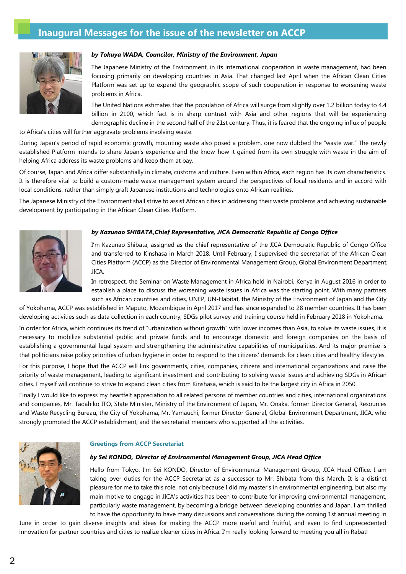### **Inaugural Messages for the issue of the newsletter on ACCP**



#### *by Tokuya WADA, Councilor, Ministry of the Environment, Japan*

The Japanese Ministry of the Environment, in its international cooperation in waste management, had been focusing primarily on developing countries in Asia. That changed last April when the African Clean Cities Platform was set up to expand the geographic scope of such cooperation in response to worsening waste problems in Africa.

The United Nations estimates that the population of Africa will surge from slightly over 1.2 billion today to 4.4 billion in 2100, which fact is in sharp contrast with Asia and other regions that will be experiencing demographic decline in the second half of the 21st century. Thus, it is feared that the ongoing influx of people

to Africa's cities will further aggravate problems involving waste.

During Japan's period of rapid economic growth, mounting waste also posed a problem, one now dubbed the "waste war." The newly established Platform intends to share Japan's experience and the know-how it gained from its own struggle with waste in the aim of helping Africa address its waste problems and keep them at bay.

Of course, Japan and Africa differ substantially in climate, customs and culture. Even within Africa, each region has its own characteristics. It is therefore vital to build a custom-made waste management system around the perspectives of local residents and in accord with local conditions, rather than simply graft Japanese institutions and technologies onto African realities.

The Japanese Ministry of the Environment shall strive to assist African cities in addressing their waste problems and achieving sustainable development by participating in the African Clean Cities Platform.



#### *by Kazunao SHIBATA,Chief Representative, JICA Democratic Republic of Congo Office*

I'm Kazunao Shibata, assigned as the chief representative of the JICA Democratic Republic of Congo Office and transferred to Kinshasa in March 2018. Until February, I supervised the secretariat of the African Clean Cities Platform (ACCP) as the Director of Environmental Management Group, Global Environment Department, JICA.

In retrospect, the Seminar on Waste Management in Africa held in Nairobi, Kenya in August 2016 in order to establish a place to discuss the worsening waste issues in Africa was the starting point. With many partners such as African countries and cities, UNEP, UN-Habitat, the Ministry of the Environment of Japan and the City

of Yokohama, ACCP was established in Maputo, Mozambique in April 2017 and has since expanded to 28 member countries. It has been developing activities such as data collection in each country, SDGs pilot survey and training course held in February 2018 in Yokohama.

In order for Africa, which continues its trend of "urbanization without growth" with lower incomes than Asia, to solve its waste issues, it is necessary to mobilize substantial public and private funds and to encourage domestic and foreign companies on the basis of establishing a governmental legal system and strengthening the administrative capabilities of municipalities. And its major premise is that politicians raise policy priorities of urban hygiene in order to respond to the citizens' demands for clean cities and healthy lifestyles.

For this purpose, I hope that the ACCP will link governments, cities, companies, citizens and international organizations and raise the priority of waste management, leading to significant investment and contributing to solving waste issues and achieving SDGs in African cities. I myself will continue to strive to expand clean cities from Kinshasa, which is said to be the largest city in Africa in 2050.

Finally I would like to express my heartfelt appreciation to all related persons of member countries and cities, international organizations and companies, Mr. Tadahiko ITO, State Minister, Ministry of the Environment of Japan, Mr. Onaka, former Director General, Resources and Waste Recycling Bureau, the City of Yokohama, Mr. Yamauchi, former Director General, Global Environment Department, JICA, who strongly promoted the ACCP establishment, and the secretariat members who supported all the activities.



#### **Greetings from ACCP Secretariat**

#### *by Sei KONDO, Director of Environmental Management Group, JICA Head Office*

Hello from Tokyo. I'm Sei KONDO, Director of Environmental Management Group, JICA Head Office. I am taking over duties for the ACCP Secretariat as a successor to Mr. Shibata from this March. It is a distinct pleasure for me to take this role, not only because I did my master's in environmental engineering, but also my main motive to engage in JICA's activities has been to contribute for improving environmental management, particularly waste management, by becoming a bridge between developing countries and Japan. I am thrilled to have the opportunity to have many discussions and conversations during the coming 1st annual meeting in

June in order to gain diverse insights and ideas for making the ACCP more useful and fruitful, and even to find unprecedented innovation for partner countries and cities to realize cleaner cities in Africa. I'm really looking forward to meeting you all in Rabat!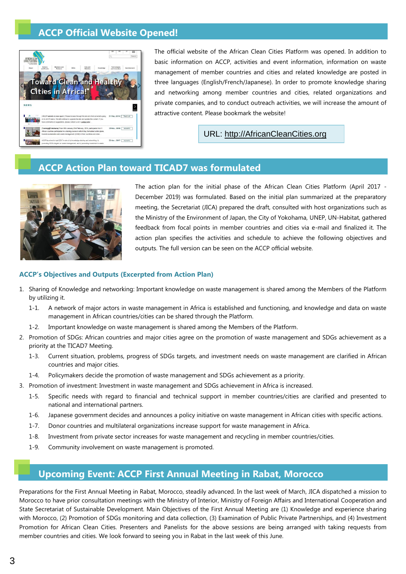## **ACCP Official Website Opened!**



The official website of the African Clean Cities Platform was opened. In addition to basic information on ACCP, activities and event information, information on waste management of member countries and cities and related knowledge are posted in three languages (English/French/Japanese). In order to promote knowledge sharing and networking among member countries and cities, related organizations and private companies, and to conduct outreach activities, we will increase the amount of attractive content. Please bookmark the website!

URL: [http://AfricanCleanCities.org](http://africancleancities.org/)

### **ACCP Action Plan toward TICAD7 was formulated**



The action plan for the initial phase of the African Clean Cities Platform (April 2017 - December 2019) was formulated. Based on the initial plan summarized at the preparatory meeting, the Secretariat (JICA) prepared the draft, consulted with host organizations such as the Ministry of the Environment of Japan, the City of Yokohama, UNEP, UN-Habitat, gathered feedback from focal points in member countries and cities via e-mail and finalized it. The action plan specifies the activities and schedule to achieve the following objectives and outputs. The full version can be seen on the ACCP official website.

#### **ACCP's Objectives and Outputs (Excerpted from Action Plan)**

- 1. Sharing of Knowledge and networking: Important knowledge on waste management is shared among the Members of the Platform by utilizing it.
	- 1-1. A network of major actors in waste management in Africa is established and functioning, and knowledge and data on waste management in African countries/cities can be shared through the Platform.
	- 1-2. Important knowledge on waste management is shared among the Members of the Platform.
- 2. Promotion of SDGs: African countries and major cities agree on the promotion of waste management and SDGs achievement as a priority at the TICAD7 Meeting.
	- 1-3. Current situation, problems, progress of SDGs targets, and investment needs on waste management are clarified in African countries and major cities.
	- 1-4. Policymakers decide the promotion of waste management and SDGs achievement as a priority.
- 3. Promotion of investment: Investment in waste management and SDGs achievement in Africa is increased.
	- 1-5. Specific needs with regard to financial and technical support in member countries/cities are clarified and presented to national and international partners.
	- 1-6. Japanese government decides and announces a policy initiative on waste management in African cities with specific actions.
	- 1-7. Donor countries and multilateral organizations increase support for waste management in Africa.
	- 1-8. Investment from private sector increases for waste management and recycling in member countries/cities.
	- 1-9. Community involvement on waste management is promoted.

### **Upcoming Event: ACCP First Annual Meeting in Rabat, Morocco**

Preparations for the First Annual Meeting in Rabat, Morocco, steadily advanced. In the last week of March, JICA dispatched a mission to Morocco to have prior consultation meetings with the Ministry of Interior, Ministry of Foreign Affairs and International Cooperation and State Secretariat of Sustainable Development. Main Objectives of the First Annual Meeting are (1) Knowledge and experience sharing with Morocco, (2) Promotion of SDGs monitoring and data collection, (3) Examination of Public Private Partnerships, and (4) Investment Promotion for African Clean Cities. Presenters and Panelists for the above sessions are being arranged with taking requests from member countries and cities. We look forward to seeing you in Rabat in the last week of this June.